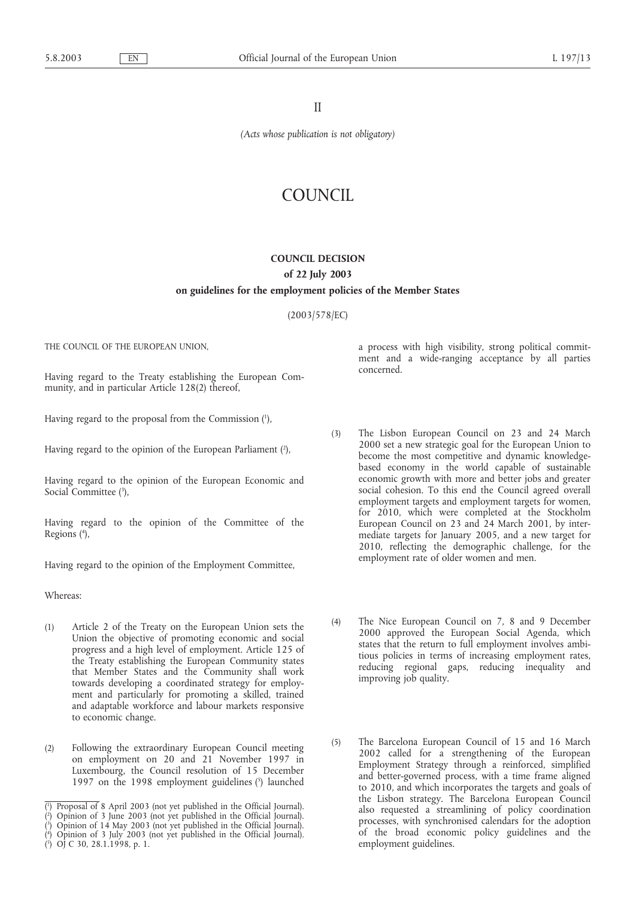II

*(Acts whose publication is not obligatory)*

# COUNCIL

# **COUNCIL DECISION**

# **of 22 July 2003**

# **on guidelines for the employment policies of the Member States**

(2003/578/EC)

THE COUNCIL OF THE EUROPEAN UNION,

Having regard to the Treaty establishing the European Community, and in particular Article 128(2) thereof,

Having regard to the proposal from the Commission (1 ),

Having regard to the opinion of the European Parliament (2),

Having regard to the opinion of the European Economic and Social Committee (3),

Having regard to the opinion of the Committee of the Regions (4),

Having regard to the opinion of the Employment Committee,

Whereas:

- (1) Article 2 of the Treaty on the European Union sets the Union the objective of promoting economic and social progress and a high level of employment. Article 125 of the Treaty establishing the European Community states that Member States and the Community shall work towards developing a coordinated strategy for employment and particularly for promoting a skilled, trained and adaptable workforce and labour markets responsive to economic change.
- (2) Following the extraordinary European Council meeting on employment on 20 and 21 November 1997 in Luxembourg, the Council resolution of 15 December 1997 on the 1998 employment guidelines (5) launched

( 4 ) Opinion of 3 July 2003 (not yet published in the Official Journal). ( 5 ) OJ C 30, 28.1.1998, p. 1.

a process with high visibility, strong political commitment and a wide-ranging acceptance by all parties concerned.

- (3) The Lisbon European Council on 23 and 24 March 2000 set a new strategic goal for the European Union to become the most competitive and dynamic knowledgebased economy in the world capable of sustainable economic growth with more and better jobs and greater social cohesion. To this end the Council agreed overall employment targets and employment targets for women, for 2010, which were completed at the Stockholm European Council on 23 and 24 March 2001, by intermediate targets for January 2005, and a new target for 2010, reflecting the demographic challenge, for the employment rate of older women and men.
- (4) The Nice European Council on 7, 8 and 9 December 2000 approved the European Social Agenda, which states that the return to full employment involves ambitious policies in terms of increasing employment rates, reducing regional gaps, reducing inequality and improving job quality.
- (5) The Barcelona European Council of 15 and 16 March 2002 called for a strengthening of the European Employment Strategy through a reinforced, simplified and better-governed process, with a time frame aligned to 2010, and which incorporates the targets and goals of the Lisbon strategy. The Barcelona European Council also requested a streamlining of policy coordination processes, with synchronised calendars for the adoption of the broad economic policy guidelines and the employment guidelines.

<sup>(</sup> 1 ) Proposal of 8 April 2003 (not yet published in the Official Journal).

<sup>(</sup> 2 ) Opinion of 3 June 2003 (not yet published in the Official Journal).

<sup>(</sup> 3 ) Opinion of 14 May 2003 (not yet published in the Official Journal).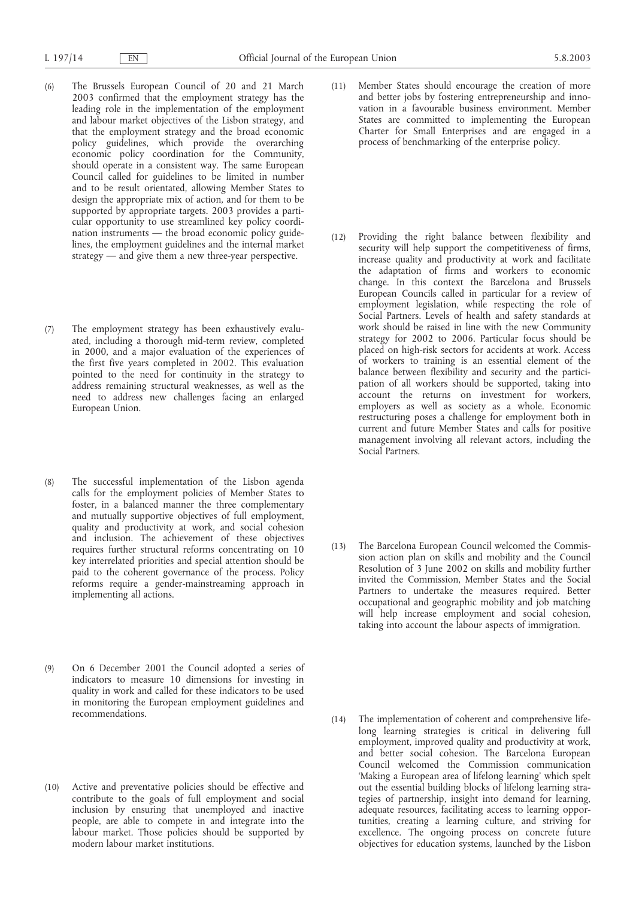- (6) The Brussels European Council of 20 and 21 March 2003 confirmed that the employment strategy has the leading role in the implementation of the employment and labour market objectives of the Lisbon strategy, and that the employment strategy and the broad economic policy guidelines, which provide the overarching economic policy coordination for the Community, should operate in a consistent way. The same European Council called for guidelines to be limited in number and to be result orientated, allowing Member States to design the appropriate mix of action, and for them to be supported by appropriate targets. 2003 provides a particular opportunity to use streamlined key policy coordination instruments — the broad economic policy guidelines, the employment guidelines and the internal market strategy — and give them a new three-year perspective.
- (7) The employment strategy has been exhaustively evaluated, including a thorough mid-term review, completed in 2000, and a major evaluation of the experiences of the first five years completed in 2002. This evaluation pointed to the need for continuity in the strategy to address remaining structural weaknesses, as well as the need to address new challenges facing an enlarged European Union.
- (8) The successful implementation of the Lisbon agenda calls for the employment policies of Member States to foster, in a balanced manner the three complementary and mutually supportive objectives of full employment, quality and productivity at work, and social cohesion and inclusion. The achievement of these objectives requires further structural reforms concentrating on 10 key interrelated priorities and special attention should be paid to the coherent governance of the process. Policy reforms require a gender-mainstreaming approach in implementing all actions.
- (9) On 6 December 2001 the Council adopted a series of indicators to measure 10 dimensions for investing in quality in work and called for these indicators to be used in monitoring the European employment guidelines and recommendations.
- (10) Active and preventative policies should be effective and contribute to the goals of full employment and social inclusion by ensuring that unemployed and inactive people, are able to compete in and integrate into the labour market. Those policies should be supported by modern labour market institutions.
- (11) Member States should encourage the creation of more and better jobs by fostering entrepreneurship and innovation in a favourable business environment. Member States are committed to implementing the European Charter for Small Enterprises and are engaged in a process of benchmarking of the enterprise policy.
- (12) Providing the right balance between flexibility and security will help support the competitiveness of firms, increase quality and productivity at work and facilitate the adaptation of firms and workers to economic change. In this context the Barcelona and Brussels European Councils called in particular for a review of employment legislation, while respecting the role of Social Partners. Levels of health and safety standards at work should be raised in line with the new Community strategy for 2002 to 2006. Particular focus should be placed on high-risk sectors for accidents at work. Access of workers to training is an essential element of the balance between flexibility and security and the participation of all workers should be supported, taking into account the returns on investment for workers, employers as well as society as a whole. Economic restructuring poses a challenge for employment both in current and future Member States and calls for positive management involving all relevant actors, including the Social Partners.
- (13) The Barcelona European Council welcomed the Commission action plan on skills and mobility and the Council Resolution of 3 June 2002 on skills and mobility further invited the Commission, Member States and the Social Partners to undertake the measures required. Better occupational and geographic mobility and job matching will help increase employment and social cohesion, taking into account the labour aspects of immigration.
- (14) The implementation of coherent and comprehensive lifelong learning strategies is critical in delivering full employment, improved quality and productivity at work, and better social cohesion. The Barcelona European Council welcomed the Commission communication 'Making a European area of lifelong learning' which spelt out the essential building blocks of lifelong learning strategies of partnership, insight into demand for learning, adequate resources, facilitating access to learning opportunities, creating a learning culture, and striving for excellence. The ongoing process on concrete future objectives for education systems, launched by the Lisbon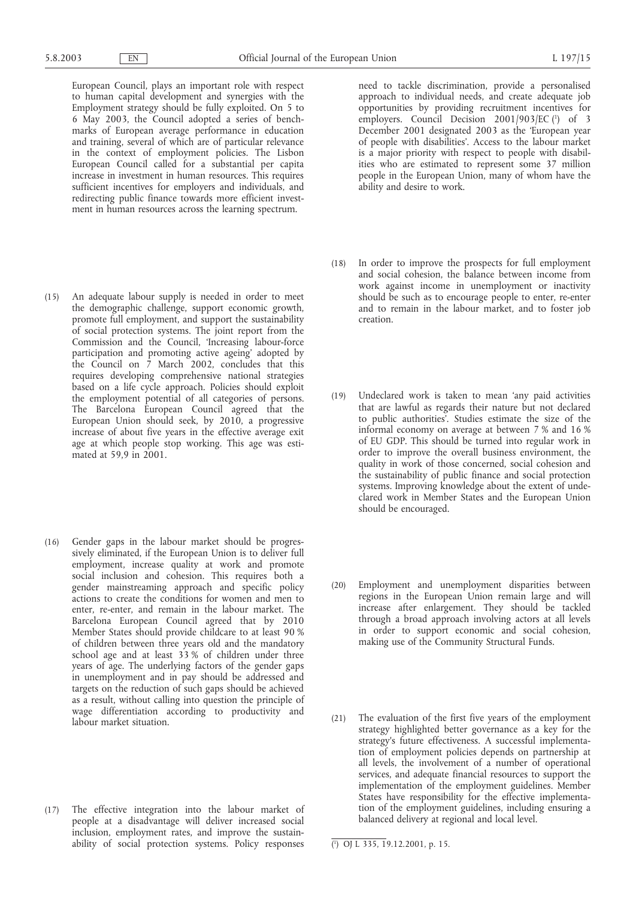European Council, plays an important role with respect to human capital development and synergies with the Employment strategy should be fully exploited. On 5 to 6 May 2003, the Council adopted a series of benchmarks of European average performance in education and training, several of which are of particular relevance in the context of employment policies. The Lisbon European Council called for a substantial per capita increase in investment in human resources. This requires sufficient incentives for employers and individuals, and redirecting public finance towards more efficient investment in human resources across the learning spectrum.

- (15) An adequate labour supply is needed in order to meet the demographic challenge, support economic growth, promote full employment, and support the sustainability of social protection systems. The joint report from the Commission and the Council, 'Increasing labour-force participation and promoting active ageing' adopted by the Council on 7 March 2002, concludes that this requires developing comprehensive national strategies based on a life cycle approach. Policies should exploit the employment potential of all categories of persons. The Barcelona European Council agreed that the European Union should seek, by 2010, a progressive increase of about five years in the effective average exit age at which people stop working. This age was estimated at 59,9 in 2001.
- (16) Gender gaps in the labour market should be progressively eliminated, if the European Union is to deliver full employment, increase quality at work and promote social inclusion and cohesion. This requires both a gender mainstreaming approach and specific policy actions to create the conditions for women and men to enter, re-enter, and remain in the labour market. The Barcelona European Council agreed that by 2010 Member States should provide childcare to at least 90 % of children between three years old and the mandatory school age and at least 33 % of children under three years of age. The underlying factors of the gender gaps in unemployment and in pay should be addressed and targets on the reduction of such gaps should be achieved as a result, without calling into question the principle of wage differentiation according to productivity and labour market situation.
- (17) The effective integration into the labour market of people at a disadvantage will deliver increased social inclusion, employment rates, and improve the sustainability of social protection systems. Policy responses

need to tackle discrimination, provide a personalised approach to individual needs, and create adequate job opportunities by providing recruitment incentives for employers. Council Decision 2001/903/EC (1) of 3 December 2001 designated 2003 as the 'European year of people with disabilities'. Access to the labour market is a major priority with respect to people with disabilities who are estimated to represent some 37 million people in the European Union, many of whom have the ability and desire to work.

- (18) In order to improve the prospects for full employment and social cohesion, the balance between income from work against income in unemployment or inactivity should be such as to encourage people to enter, re-enter and to remain in the labour market, and to foster job creation.
- (19) Undeclared work is taken to mean 'any paid activities that are lawful as regards their nature but not declared to public authorities'. Studies estimate the size of the informal economy on average at between 7 % and 16 % of EU GDP. This should be turned into regular work in order to improve the overall business environment, the quality in work of those concerned, social cohesion and the sustainability of public finance and social protection systems. Improving knowledge about the extent of undeclared work in Member States and the European Union should be encouraged.
- (20) Employment and unemployment disparities between regions in the European Union remain large and will increase after enlargement. They should be tackled through a broad approach involving actors at all levels in order to support economic and social cohesion, making use of the Community Structural Funds.
- (21) The evaluation of the first five years of the employment strategy highlighted better governance as a key for the strategy's future effectiveness. A successful implementation of employment policies depends on partnership at all levels, the involvement of a number of operational services, and adequate financial resources to support the implementation of the employment guidelines. Member States have responsibility for the effective implementation of the employment guidelines, including ensuring a balanced delivery at regional and local level.

<sup>(</sup> 1 ) OJ L 335, 19.12.2001, p. 15.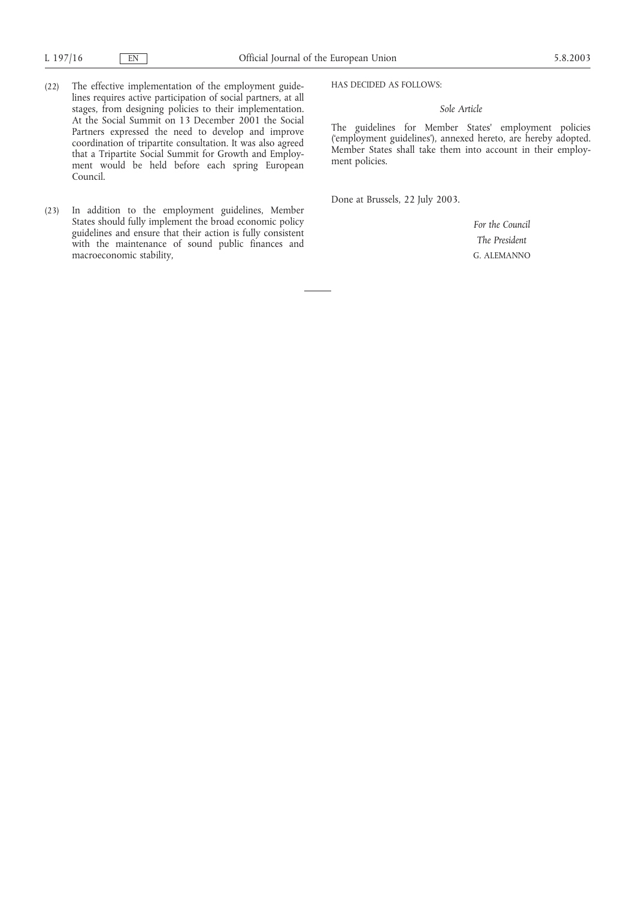- (22) The effective implementation of the employment guidelines requires active participation of social partners, at all stages, from designing policies to their implementation. At the Social Summit on 13 December 2001 the Social Partners expressed the need to develop and improve coordination of tripartite consultation. It was also agreed that a Tripartite Social Summit for Growth and Employment would be held before each spring European Council.
- (23) In addition to the employment guidelines, Member States should fully implement the broad economic policy guidelines and ensure that their action is fully consistent with the maintenance of sound public finances and macroeconomic stability,

HAS DECIDED AS FOLLOWS:

# *Sole Article*

The guidelines for Member States' employment policies ('employment guidelines'), annexed hereto, are hereby adopted. Member States shall take them into account in their employment policies.

Done at Brussels, 22 July 2003.

*For the Council The President* G. ALEMANNO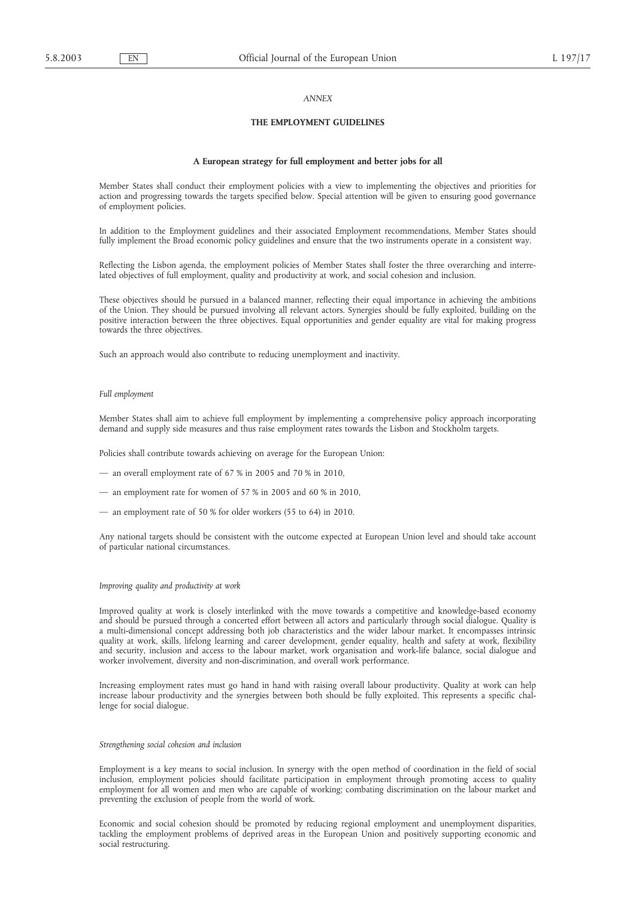# *ANNEX*

## **THE EMPLOYMENT GUIDELINES**

#### **A European strategy for full employment and better jobs for all**

Member States shall conduct their employment policies with a view to implementing the objectives and priorities for action and progressing towards the targets specified below. Special attention will be given to ensuring good governance of employment policies.

In addition to the Employment guidelines and their associated Employment recommendations, Member States should fully implement the Broad economic policy guidelines and ensure that the two instruments operate in a consistent way.

Reflecting the Lisbon agenda, the employment policies of Member States shall foster the three overarching and interrelated objectives of full employment, quality and productivity at work, and social cohesion and inclusion.

These objectives should be pursued in a balanced manner, reflecting their equal importance in achieving the ambitions of the Union. They should be pursued involving all relevant actors. Synergies should be fully exploited, building on the positive interaction between the three objectives. Equal opportunities and gender equality are vital for making progress towards the three objectives.

Such an approach would also contribute to reducing unemployment and inactivity.

#### *Full employment*

Member States shall aim to achieve full employment by implementing a comprehensive policy approach incorporating demand and supply side measures and thus raise employment rates towards the Lisbon and Stockholm targets.

Policies shall contribute towards achieving on average for the European Union:

- an overall employment rate of 67 % in 2005 and 70 % in 2010,
- an employment rate for women of 57 % in 2005 and 60 % in 2010,
- an employment rate of 50 % for older workers (55 to 64) in 2010.

Any national targets should be consistent with the outcome expected at European Union level and should take account of particular national circumstances.

#### *Improving quality and productivity at work*

Improved quality at work is closely interlinked with the move towards a competitive and knowledge-based economy and should be pursued through a concerted effort between all actors and particularly through social dialogue. Quality is a multi-dimensional concept addressing both job characteristics and the wider labour market. It encompasses intrinsic quality at work, skills, lifelong learning and career development, gender equality, health and safety at work, flexibility and security, inclusion and access to the labour market, work organisation and work-life balance, social dialogue and worker involvement, diversity and non-discrimination, and overall work performance.

Increasing employment rates must go hand in hand with raising overall labour productivity. Quality at work can help increase labour productivity and the synergies between both should be fully exploited. This represents a specific challenge for social dialogue.

#### *Strengthening social cohesion and inclusion*

Employment is a key means to social inclusion. In synergy with the open method of coordination in the field of social inclusion, employment policies should facilitate participation in employment through promoting access to quality employment for all women and men who are capable of working; combating discrimination on the labour market and preventing the exclusion of people from the world of work.

Economic and social cohesion should be promoted by reducing regional employment and unemployment disparities, tackling the employment problems of deprived areas in the European Union and positively supporting economic and social restructuring.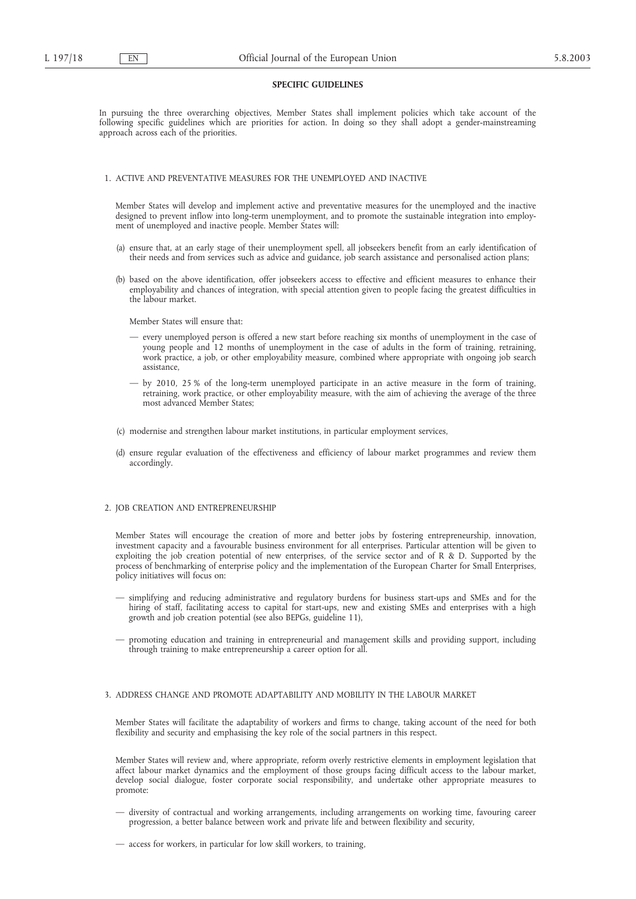## **SPECIFIC GUIDELINES**

In pursuing the three overarching objectives, Member States shall implement policies which take account of the following specific guidelines which are priorities for action. In doing so they shall adopt a gender-mainstreaming approach across each of the priorities.

## 1. ACTIVE AND PREVENTATIVE MEASURES FOR THE UNEMPLOYED AND INACTIVE

Member States will develop and implement active and preventative measures for the unemployed and the inactive designed to prevent inflow into long-term unemployment, and to promote the sustainable integration into employment of unemployed and inactive people. Member States will:

- (a) ensure that, at an early stage of their unemployment spell, all jobseekers benefit from an early identification of their needs and from services such as advice and guidance, job search assistance and personalised action plans;
- (b) based on the above identification, offer jobseekers access to effective and efficient measures to enhance their employability and chances of integration, with special attention given to people facing the greatest difficulties in the labour market.

Member States will ensure that:

- every unemployed person is offered a new start before reaching six months of unemployment in the case of young people and 12 months of unemployment in the case of adults in the form of training, retraining, work practice, a job, or other employability measure, combined where appropriate with ongoing job search assistance,
- by 2010, 25 % of the long-term unemployed participate in an active measure in the form of training, retraining, work practice, or other employability measure, with the aim of achieving the average of the three most advanced Member States;
- (c) modernise and strengthen labour market institutions, in particular employment services,
- (d) ensure regular evaluation of the effectiveness and efficiency of labour market programmes and review them accordingly.

## 2. JOB CREATION AND ENTREPRENEURSHIP

Member States will encourage the creation of more and better jobs by fostering entrepreneurship, innovation, investment capacity and a favourable business environment for all enterprises. Particular attention will be given to exploiting the job creation potential of new enterprises, of the service sector and of R & D. Supported by the process of benchmarking of enterprise policy and the implementation of the European Charter for Small Enterprises, policy initiatives will focus on:

- simplifying and reducing administrative and regulatory burdens for business start-ups and SMEs and for the hiring of staff, facilitating access to capital for start-ups, new and existing SMEs and enterprises with a high growth and job creation potential (see also BEPGs, guideline 11),
- promoting education and training in entrepreneurial and management skills and providing support, including through training to make entrepreneurship a career option for all.

# 3. ADDRESS CHANGE AND PROMOTE ADAPTABILITY AND MOBILITY IN THE LABOUR MARKET

Member States will facilitate the adaptability of workers and firms to change, taking account of the need for both flexibility and security and emphasising the key role of the social partners in this respect.

Member States will review and, where appropriate, reform overly restrictive elements in employment legislation that affect labour market dynamics and the employment of those groups facing difficult access to the labour market, develop social dialogue, foster corporate social responsibility, and undertake other appropriate measures to promote:

- diversity of contractual and working arrangements, including arrangements on working time, favouring career progression, a better balance between work and private life and between flexibility and security,
- access for workers, in particular for low skill workers, to training,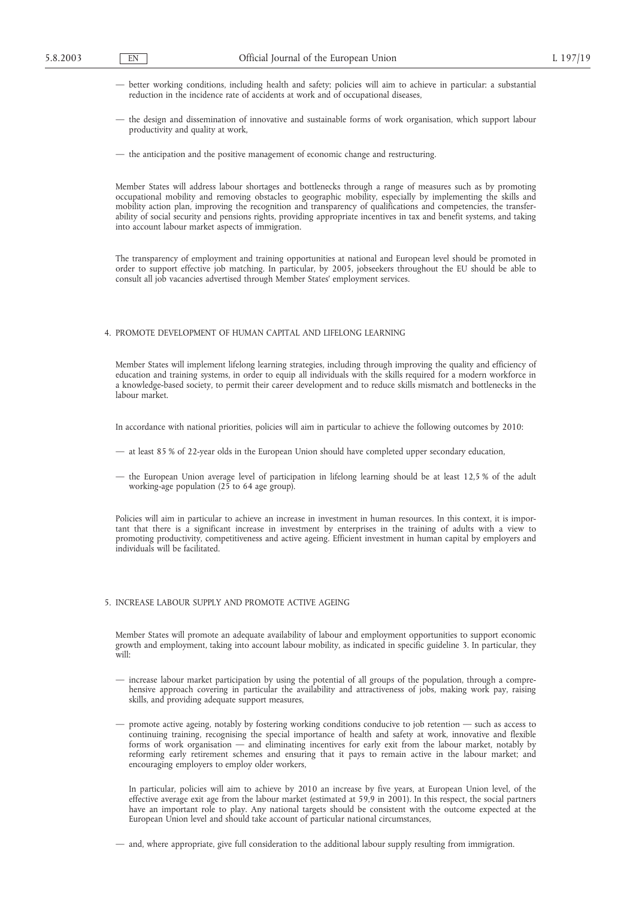- better working conditions, including health and safety; policies will aim to achieve in particular: a substantial reduction in the incidence rate of accidents at work and of occupational diseases,
- the design and dissemination of innovative and sustainable forms of work organisation, which support labour productivity and quality at work,
- the anticipation and the positive management of economic change and restructuring.

Member States will address labour shortages and bottlenecks through a range of measures such as by promoting occupational mobility and removing obstacles to geographic mobility, especially by implementing the skills and mobility action plan, improving the recognition and transparency of qualifications and competencies, the transferability of social security and pensions rights, providing appropriate incentives in tax and benefit systems, and taking into account labour market aspects of immigration.

The transparency of employment and training opportunities at national and European level should be promoted in order to support effective job matching. In particular, by 2005, jobseekers throughout the EU should be able to consult all job vacancies advertised through Member States' employment services.

#### 4. PROMOTE DEVELOPMENT OF HUMAN CAPITAL AND LIFELONG LEARNING

Member States will implement lifelong learning strategies, including through improving the quality and efficiency of education and training systems, in order to equip all individuals with the skills required for a modern workforce in a knowledge-based society, to permit their career development and to reduce skills mismatch and bottlenecks in the labour market.

In accordance with national priorities, policies will aim in particular to achieve the following outcomes by 2010:

- at least 85 % of 22-year olds in the European Union should have completed upper secondary education,
- the European Union average level of participation in lifelong learning should be at least 12,5 % of the adult working-age population (25 to 64 age group).

Policies will aim in particular to achieve an increase in investment in human resources. In this context, it is important that there is a significant increase in investment by enterprises in the training of adults with a view to promoting productivity, competitiveness and active ageing. Efficient investment in human capital by employers and individuals will be facilitated.

# 5. INCREASE LABOUR SUPPLY AND PROMOTE ACTIVE AGEING

Member States will promote an adequate availability of labour and employment opportunities to support economic growth and employment, taking into account labour mobility, as indicated in specific guideline 3. In particular, they will:

- increase labour market participation by using the potential of all groups of the population, through a comprehensive approach covering in particular the availability and attractiveness of jobs, making work pay, raising skills, and providing adequate support measures,
- promote active ageing, notably by fostering working conditions conducive to job retention such as access to continuing training, recognising the special importance of health and safety at work, innovative and flexible forms of work organisation — and eliminating incentives for early exit from the labour market, notably by reforming early retirement schemes and ensuring that it pays to remain active in the labour market; and encouraging employers to employ older workers,

In particular, policies will aim to achieve by 2010 an increase by five years, at European Union level, of the effective average exit age from the labour market (estimated at 59,9 in 2001). In this respect, the social partners have an important role to play. Any national targets should be consistent with the outcome expected at the European Union level and should take account of particular national circumstances,

— and, where appropriate, give full consideration to the additional labour supply resulting from immigration.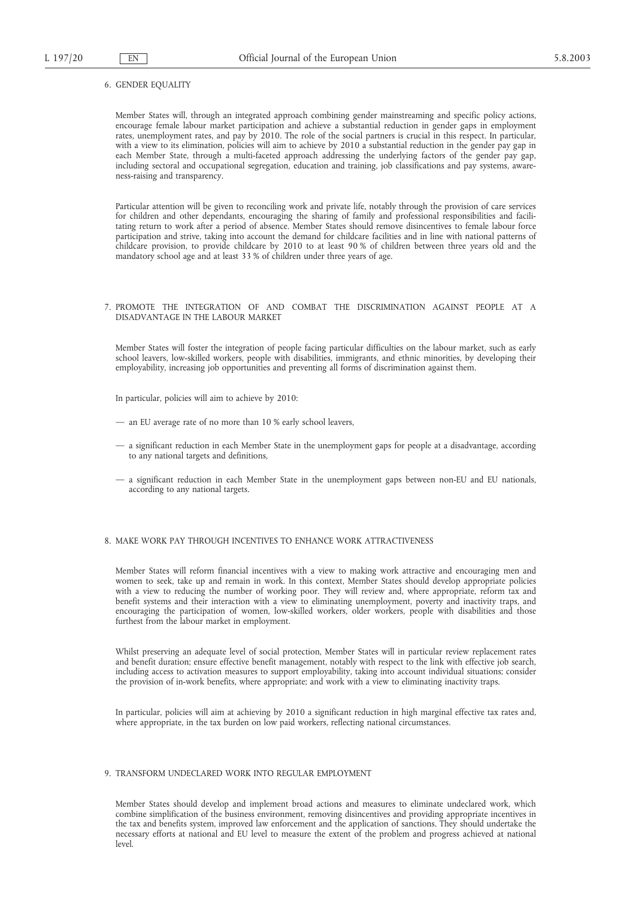#### 6. GENDER EQUALITY

Member States will, through an integrated approach combining gender mainstreaming and specific policy actions, encourage female labour market participation and achieve a substantial reduction in gender gaps in employment rates, unemployment rates, and pay by 2010. The role of the social partners is crucial in this respect. In particular, with a view to its elimination, policies will aim to achieve by 2010 a substantial reduction in the gender pay gap in each Member State, through a multi-faceted approach addressing the underlying factors of the gender pay gap, including sectoral and occupational segregation, education and training, job classifications and pay systems, awareness-raising and transparency.

Particular attention will be given to reconciling work and private life, notably through the provision of care services for children and other dependants, encouraging the sharing of family and professional responsibilities and facilitating return to work after a period of absence. Member States should remove disincentives to female labour force participation and strive, taking into account the demand for childcare facilities and in line with national patterns of childcare provision, to provide childcare by 2010 to at least 90 % of children between three years old and the mandatory school age and at least 33 % of children under three years of age.

#### 7. PROMOTE THE INTEGRATION OF AND COMBAT THE DISCRIMINATION AGAINST PEOPLE AT A DISADVANTAGE IN THE LABOUR MARKET

Member States will foster the integration of people facing particular difficulties on the labour market, such as early school leavers, low-skilled workers, people with disabilities, immigrants, and ethnic minorities, by developing their employability, increasing job opportunities and preventing all forms of discrimination against them.

In particular, policies will aim to achieve by 2010:

- an EU average rate of no more than 10 % early school leavers,
- a significant reduction in each Member State in the unemployment gaps for people at a disadvantage, according to any national targets and definitions,
- a significant reduction in each Member State in the unemployment gaps between non-EU and EU nationals, according to any national targets.

#### 8. MAKE WORK PAY THROUGH INCENTIVES TO ENHANCE WORK ATTRACTIVENESS

Member States will reform financial incentives with a view to making work attractive and encouraging men and women to seek, take up and remain in work. In this context, Member States should develop appropriate policies with a view to reducing the number of working poor. They will review and, where appropriate, reform tax and benefit systems and their interaction with a view to eliminating unemployment, poverty and inactivity traps, and encouraging the participation of women, low-skilled workers, older workers, people with disabilities and those furthest from the labour market in employment.

Whilst preserving an adequate level of social protection, Member States will in particular review replacement rates and benefit duration; ensure effective benefit management, notably with respect to the link with effective job search, including access to activation measures to support employability, taking into account individual situations; consider the provision of in-work benefits, where appropriate; and work with a view to eliminating inactivity traps.

In particular, policies will aim at achieving by 2010 a significant reduction in high marginal effective tax rates and, where appropriate, in the tax burden on low paid workers, reflecting national circumstances.

#### 9. TRANSFORM UNDECLARED WORK INTO REGULAR EMPLOYMENT

Member States should develop and implement broad actions and measures to eliminate undeclared work, which combine simplification of the business environment, removing disincentives and providing appropriate incentives in the tax and benefits system, improved law enforcement and the application of sanctions. They should undertake the necessary efforts at national and EU level to measure the extent of the problem and progress achieved at national level.